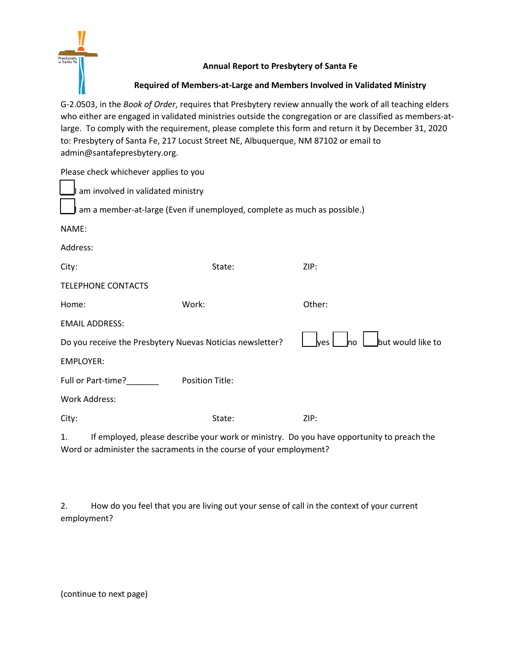

## **Annual Report to Presbytery of Santa Fe**

**Required of Members-at-Large and Members Involved in Validated Ministry**

G-2.0503, in the *Book of Order*, requires that Presbytery review annually the work of all teaching elders who either are engaged in validated ministries outside the congregation or are classified as members-atlarge. To comply with the requirement, please complete this form and return it by December 31, 2020 to: Presbytery of Santa Fe, 217 Locust Street NE, Albuquerque, NM 87102 or email to admin@santafepresbytery.org.

| Please check whichever applies to you                                    |                        |                                          |  |  |  |  |
|--------------------------------------------------------------------------|------------------------|------------------------------------------|--|--|--|--|
| am involved in validated ministry                                        |                        |                                          |  |  |  |  |
| am a member-at-large (Even if unemployed, complete as much as possible.) |                        |                                          |  |  |  |  |
| NAME:                                                                    |                        |                                          |  |  |  |  |
| Address:                                                                 |                        |                                          |  |  |  |  |
| City:                                                                    | State:                 | ZIP:                                     |  |  |  |  |
| <b>TELEPHONE CONTACTS</b>                                                |                        |                                          |  |  |  |  |
| Home:                                                                    | Work:                  | Other:                                   |  |  |  |  |
| <b>EMAIL ADDRESS:</b>                                                    |                        |                                          |  |  |  |  |
| Do you receive the Presbytery Nuevas Noticias newsletter?                |                        | but would like to<br>lves<br><b>I</b> no |  |  |  |  |
| EMPLOYER:                                                                |                        |                                          |  |  |  |  |
| Full or Part-time?_______                                                | <b>Position Title:</b> |                                          |  |  |  |  |
| <b>Work Address:</b>                                                     |                        |                                          |  |  |  |  |
| City:                                                                    | State:                 | ZIP:                                     |  |  |  |  |
|                                                                          |                        |                                          |  |  |  |  |

1. If employed, please describe your work or ministry. Do you have opportunity to preach the Word or administer the sacraments in the course of your employment?

|             | How do you feel that you are living out your sense of call in the context of your current |
|-------------|-------------------------------------------------------------------------------------------|
| employment? |                                                                                           |

(continue to next page)